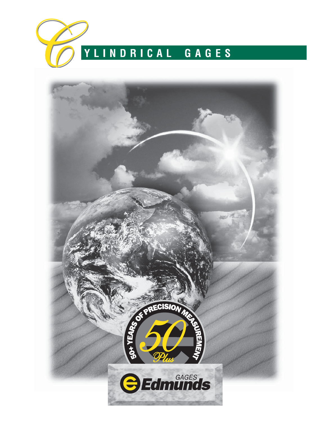

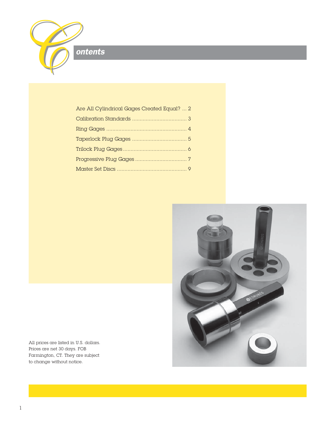

| Are All Cylindrical Gages Created Equal?  2 |  |
|---------------------------------------------|--|
|                                             |  |
|                                             |  |
|                                             |  |
|                                             |  |
|                                             |  |
|                                             |  |



All prices are listed in U.S. dollars. Prices are net 30 days. FOB Farmington, CT. They are subject to change without notice.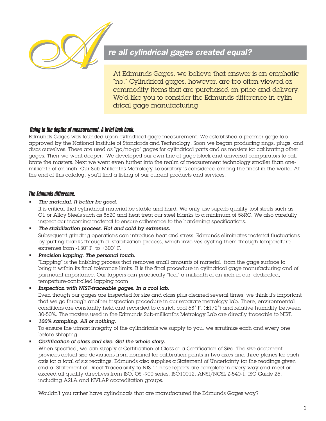

### re all cylindrical gages created equal?

At Edmunds Gages, we believe that answer is an emphatic "no." Cylindrical gages, however, are too often viewed as commodity items that are purchased on price and delivery. We'd like you to consider the Edmunds difference in cylindrical gage manufacturing.

#### *Going to the depths of measurement. A brief look back.*

Edmunds Gages was founded upon cylindrical gage measurement. We established a premier gage lab approved by the National Institute of Standards and Technology. Soon we began producing rings, plugs, and discs ourselves. These are used as "go/no-go" gages for cylindrical parts and as masters for calibrating other gages. Then we went deeper. We developed our own line of gage block and universal comparators to calibrate the masters. Next we went even further into the realm of measurement technology smaller than onemillionth of an inch. Our Sub-Millionths Metrology Laboratory is considered among the finest in the world. At the end of this catalog, you'll find a listing of our current products and services.

#### *The Edmunds difference.*

#### The material. It better be good.

It is critical that cylindrical material be stable and hard. We only use superb quality tool steels such as O1 or Alloy Steels such as 8620 and heat treat our steel blanks to a minimum of 58RC. We also carefully inspect our incoming material to ensure adherence to the hardening specifications.

#### The stabilization process. Hot and cold by extremes.

Subsequent grinding operations can introduce heat and stress. Edmunds eliminates material fluctuations by putting blanks through  $\alpha$  stabilization process, which involves cycling them through temperature extremes from -130˚ F. to +300˚ F.

Precision lapping. The personal touch.

"Lapping" is the finishing process that removes small amounts of material from the gage surface to bring it within its final tolerance limits. It is the final procedure in cylindrical gage manufacturing and of parmount importance. Our lappers can practically "feel" a millionth of an inch in our dedicated, temperture-controlled lapping room.

Inspection with NIST-traceable gages. In a cool lab.

Even though our gages are inspected for size and class plus cleaned several times, we think it's important that we go through another inspection procedure in our separate metrology lab. There, environmental conditions are constantly held and recorded to a strict, cool 68° F. ( $\pm$ 1/2°) and relative humidity between 30-50%. The masters used in the Edmunds Sub-millionths Metrology Lab are directly traceable to NIST.

- 100% sampling. All or nothing. To ensure the utmost integrity of the cylindricals we supply to you, we scrutinize each and every one before shipping.
- Certification of class and size. Get the whole story.

When specified, we can supply a Certification of Class or a Certification of Size. The size document provides actual size deviations from nominal for calibration points in two axes and three planes for each  $\alpha$ xis for a total of six readings. Edmunds also supplies a Statement of Uncertainty for the readings given and a Statement of Direct Traceability to NIST. These reports are complete in every way and meet or exceed all quality directives from ISO, OS -900 series, ISO10012, ANSI/NCSL Z-540-1, ISO Guide 25, including A2LA and NVLAP accreditation groups.

Wouldn't you rather have cylindricals that are manufactured the Edmunds Gages way?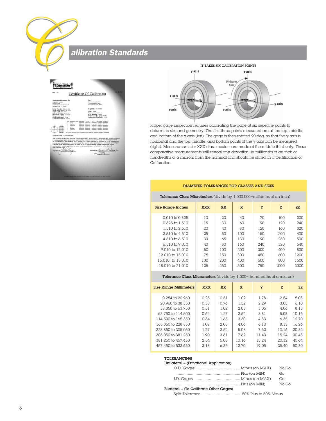alibration Standards

| dmund                                                                                                                                                                                                                         |                                                                                                                                                                                                                                                                                                                                                                                                                                                                                                                                                                                                                                                                                                                |
|-------------------------------------------------------------------------------------------------------------------------------------------------------------------------------------------------------------------------------|----------------------------------------------------------------------------------------------------------------------------------------------------------------------------------------------------------------------------------------------------------------------------------------------------------------------------------------------------------------------------------------------------------------------------------------------------------------------------------------------------------------------------------------------------------------------------------------------------------------------------------------------------------------------------------------------------------------|
| Fage 1 Of 1.                                                                                                                                                                                                                  | Cars at Atlanta<br>Certificate Of Calibration                                                                                                                                                                                                                                                                                                                                                                                                                                                                                                                                                                                                                                                                  |
| Calibration Performed By:<br><b>EDM ADS GASES</b><br>SPRING LANE<br>FARMINGTON INDUSTRIAL PK.<br>ENRAGERON, CT. 06002                                                                                                         | For<br><b>STATISTICS</b><br>MARTIN CELL CORP.<br>1200 NEW PARK BLVD.<br>WATERBLIRY, CA. 06001                                                                                                                                                                                                                                                                                                                                                                                                                                                                                                                                                                                                                  |
| Serial Number: CO-CM-102<br>Gage Description: set picc.<br>Gage Type: net proc<br>Unit of Measure: ENGLISH<br>Procedure Used: EG-0/T-08<br>Temperature/RFC 48 F / KIN<br>Calibration Date: 1878<br>Calibration Result: Fasset | Gage LD.: EG-GM-012<br>Sige: Anci<br>Tolerance: 456 PLUS<br>P.O. Number: 18906<br>Performed By: JOIN HORTY<br>Calibration Due Date: 1/6/99                                                                                                                                                                                                                                                                                                                                                                                                                                                                                                                                                                     |
| ÷<br>a finde<br>ž<br>A-carrier<br>a bottom<br>ż<br>points.<br>÷<br>y-partner.<br><b>CAUSE</b>                                                                                                                                 | Sea Peterson fort Standard Tol. 4   Tol. As Found Deviation<br>p sponen in agonab is sponen in cancers in modern<br>0.500000 0.500040 0.500000 0.500028 +0.000028<br>0 500000 0 500040 0 500000 0 500026 +0 200026<br>0 800000 0 800040 0 500000 0 500000 +0 500009<br>0.500000 0.550040 0.500000 0.500030 +0.000030<br>4 500000 0 500042 1 500000 0 500004 +0 000029<br>F .- Dut Of Towness: LAD at Towness aren Gage Live Writings Of Value And Bushell                                                                                                                                                                                                                                                      |
| Equipment Used To Calibraia Gage:<br><b>Itom Elenunds Geges</b>                                                                                                                                                               | This Certificate of Calibration conforms to ANSINCSL-2540-1 & ISO-13012-1. Temperature and humdity conditions<br>are mondored and held to levels as not to detunally the precision measurement results. The neterance standards<br>for this calibration is block set #134, NIST Test #821/257176-96, Calibrated 07.10.96 due: 07.10.98. Measurement<br>unperturely of this calibration is +1-5 more victives. This report is neither a contract nor a contractival representation.<br>Edmunds Gages responsibility shall in no event, nor in any case whatsoever, aspeed the purchase price of<br>this calibration. This report shall not be copied or reproduced except in full without the written approval. |
| 00m 11<br><b>Inspected Bs</b>                                                                                                                                                                                                 | nowans by <u>Manaces O'Connac</u>                                                                                                                                                                                                                                                                                                                                                                                                                                                                                                                                                                                                                                                                              |
|                                                                                                                                                                                                                               | ENERGY PROVIDING AT UNK HELD A DC INVESTIGATION AND ATTACHED                                                                                                                                                                                                                                                                                                                                                                                                                                                                                                                                                                                                                                                   |





Proper gage inspection requires calibrating the gage at six seperate points to determine size and geometry. The first three points measured are at the top, middle, and bottom of the x axis (left). The gage is then rotated 90 deg. so that the y axis is horizontal and the top, middle, and bottom points of the y axis can be measured (right). Measurements for XXX class masters are made at the middle third only. These comparative measurements will reveal any deviation, in millionths of an inch or hundredths of  $\alpha$  micron, from the nominal and should be stated in  $\alpha$  Certification of Calibration.

#### DIAMETER TOLERANCES FOR CLASSES AND SIZES

#### Tolerance Class Microinches (divide by 1,000,000=millonths of an inch)

| <b>Size Range Inches</b>   | <b>XXX</b> | <b>XX</b> | $\mathbf x$ | Y   | z    | 7.7. |
|----------------------------|------------|-----------|-------------|-----|------|------|
| $0.010$ to $0.825$         | 10         | 20        | 40          | 70  | 100  | 200  |
| $0.825$ to $1.510$         | 15         | 30        | 60          | 90  | 120  | 240  |
| 1.510 to 2.510             | 20         | 40        | 80          | 120 | 160  | 320  |
| $2.510$ to $4.510$         | 25         | 50        | 100         | 150 | 200  | 400  |
| $4.510$ to 6.510           | 33         | 65        | 130         | 190 | 250  | 500  |
| $6.510$ to $9.010$         | 40         | 80        | 160         | 240 | 320  | 640  |
| $9.010 \text{ to } 12.010$ | 50         | 100       | 200         | 300 | 400  | 800  |
| 12.010 to 15.010           | 75         | 150       | 300         | 450 | 600  | 1200 |
| 15,010 to 18,010           | 100        | 200       | 400         | 600 | 800  | 1600 |
| 18,010 to 21,010           | 125        | 250       | 500         | 750 | 1000 | 2000 |
|                            |            |           |             |     |      |      |

#### Tolerance Class Micrometers (divide by  $1,000$ = hundredths of a micron)

| <b>Size Range Millimeters</b> | <b>XXX</b> | <b>XX</b> | $\mathbf x$ | Y     | z     | ZZ    |
|-------------------------------|------------|-----------|-------------|-------|-------|-------|
| 0.254 to 20.960               | 0.25       | 0.51      | 1.02        | 1.78  | 2.54  | 5.08  |
| 20,960 to 38,350              | 0.38       | 0.76      | 1.52        | 2.29  | 3.05  | 6.10  |
| 38.350 to 63.750              | 0.51       | 1.02      | 2.03        | 3.05  | 4.06  | 8.13  |
| 63.750 to 114.500             | 0.64       | 1.27      | 2.54        | 3.81  | 5.08  | 10.16 |
| 114,500 to 165,350            | 0.84       | 1.65      | 3.30        | 4.83  | 6.35  | 12.70 |
| 165,350 to 228,850            | 1.02       | 2.03      | 4.06        | 6.10  | 8.13  | 16.26 |
| 228,850 to 305,050            | 1.27       | 2.54      | 5.08        | 7.62  | 10.16 | 20.32 |
| 305,050 to 381,250            | 1.90       | 3.81      | 7.62        | 11.43 | 15.24 | 30.48 |
| 381,250 to 457,450            | 2.54       | 5.08      | 10.16       | 15.24 | 20.32 | 40.64 |
| 457,450 to 533,650            | 3.18       | 6.35      | 12.70       | 19.05 | 25.40 | 50.80 |

#### TOLERANCING

#### Unilateral – (Functional Application)

| No Go |
|-------|
| Go    |
| Go    |
| No Go |
|       |
|       |

Split Tolerance ................................... 50% Plus to 50% Minus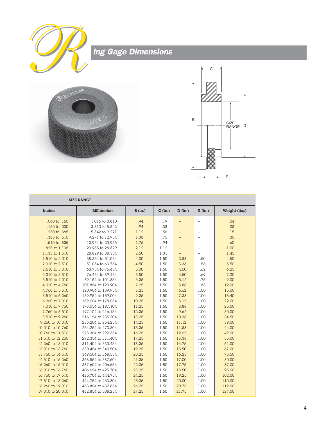





|                  | <b>SIZE RANGE</b>  |         |           |                          |                          |               |
|------------------|--------------------|---------|-----------|--------------------------|--------------------------|---------------|
| Inches           | <b>Millimeters</b> | B (in.) | $C$ (in.) | D (in.)                  | $E$ (in.)                | Weight (lbs.) |
| .040 to .150     | 1.016 to 3.810     | .94     | .19       |                          |                          | .04           |
| .150 to .230     | 3.810 to 5.842     | .94     | .38       |                          | $\overline{\phantom{0}}$ | .08           |
| .230 to .365     | 5.842 to 9.271     | 1.12    | .56       |                          | $\overline{a}$           | .15           |
| .365 to .510     | 9.271 to 12.954    | 1.38    | .75       | $-$                      | $\overline{\phantom{0}}$ | .30           |
| .510 to .825     | 12.954 to 20.955   | 1.75    | .94       | $\equiv$                 | $\overline{a}$           | .60           |
| .825 to 1.135    | 20.955 to 28.829   | 2.12    | 1.12      | $\overline{\phantom{0}}$ | $\overline{a}$           | 1.00          |
| 1.135 to 1.510   | 28.829 to 38.354   | 2.50    | 1.31      | $\overline{\phantom{0}}$ | L.                       | 1.45          |
| 1.510 to 2.010   | 38.354 to 51.054   | 4.00    | 1.50      | 2.88                     | .50                      | 4.50          |
| 2.010 to 2.510   | 51.054 to 63.754   | 4.50    | 1.50      | 3.38                     | .56                      | 5.50          |
| 2.510 to 3.010   | 63.754 to 76.454   | 5.00    | 1.50      | 4.00                     | .62                      | 6.25          |
| 3.010 to 3.510   | 76.454 to 89.154   | 5.50    | 1.50      | 4.50                     | .69                      | 7.00          |
| 3.510 to 4.010   | 89.154 to 101.854  | 6.25    | 1.50      | 5.12                     | .75                      | 9.00          |
| 4.010 to 4.760   | 101.854 to 120.904 | 7.25    | 1.50      | 5.88                     | .88                      | 12.00         |
| 4.760 to 5.510   | 120,904 to 139,954 | 8.25    | 1.50      | 6.62                     | 1.00                     | 15.00         |
| 5.510 to 6.260   | 139.954 to 159.004 | 9.25    | 1.50      | 7.38                     | 1.00                     | 18.40         |
| 6.260 to 7.010   | 159.004 to 178.054 | 10.25   | 1.50      | 8.12                     | 1.00                     | 22.00         |
| 7.010 to 7.760   | 178,054 to 197,104 | 11.25   | 1.50      | 8.88                     | 1.00                     | 25.00         |
| 7.760 to 8.510   | 197.104 to 216.154 | 12.25   | 1.50      | 9.62                     | 1.00                     | 30.00         |
| 8.510 to 9.260   | 216.154 to 235.204 | 13.25   | 1.50      | 10.38                    | 1.00                     | 34.50         |
| 9.260 to 10.010  | 235.204 to 254.254 | 14.25   | 1.50      | 11.12                    | 1.00                     | 39.00         |
| 10.010 to 10.760 | 254.254 to 273.304 | 15.25   | 1.50      | 11.88                    | 1.00                     | 44.00         |
| 10.760 to 11.510 | 273.304 to 292.354 | 16.25   | 1.50      | 12.62                    | 1.00                     | 49.00         |
| 11.510 to 12.260 | 292.354 to 311.404 | 17.25   | 1.50      | 13.38                    | 1.00                     | 55.00         |
| 12.260 to 13.010 | 311.404 to 330.454 | 18.25   | 1.50      | 14.75                    | 1.00                     | 61.00         |
| 13.010 to 13.760 | 330.454 to 349.504 | 19.25   | 1.50      | 15.50                    | 1.00                     | 67.00         |
| 13.760 to 14.510 | 349.504 to 368.554 | 20.25   | 1.50      | 16.25                    | 1.00                     | 73.50         |
| 14.510 to 15.260 | 368.554 to 387.604 | 21.25   | 1.50      | 17.00                    | 1.00                     | 80.00         |
| 15.260 to 16.010 | 387.604 to 406.654 | 22.25   | 1.50      | 17.75                    | 1.00                     | 87.00         |
| 16.010 to 16.760 | 406.654 to 425.704 | 23.25   | 1.50      | 18.50                    | 1.00                     | 95.00         |
| 16.760 to 17.510 | 425.704 to 444.754 | 24.25   | 1.50      | 19.25                    | 1.00                     | 102.00        |
| 17.510 to 18.260 | 444.754 to 463.804 | 25.25   | 1.50      | 20.00                    | 1.00                     | 110.00        |
| 18.260 to 19.010 | 463.804 to 482.854 | 26.25   | 1.50      | 20.75                    | 1.00                     | 119.00        |
| 19.010 to 20.010 | 482.854 to 508.254 | 27.25   | 1.50      | 21.75                    | 1.00                     | 127.00        |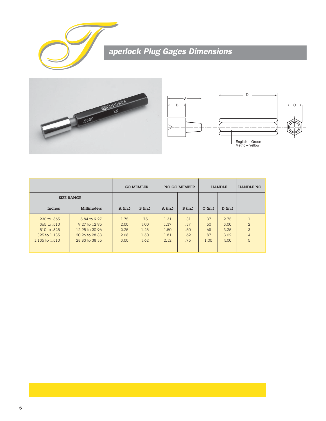

# **Aperlock Plug Gages Dimensions**





|                                                                                     |                                                                                     |                                      | <b>GO MEMBER</b>                    |                                      | <b>NO GO MEMBER</b>             |                                  | <b>HANDLE</b>                        | HANDLE NO.                                 |
|-------------------------------------------------------------------------------------|-------------------------------------------------------------------------------------|--------------------------------------|-------------------------------------|--------------------------------------|---------------------------------|----------------------------------|--------------------------------------|--------------------------------------------|
| <b>SIZE RANGE</b>                                                                   |                                                                                     |                                      |                                     |                                      |                                 |                                  |                                      |                                            |
| Inches                                                                              | <b>Millimeters</b>                                                                  | A(in.)                               | B(in.)                              | A(in.)                               | B(in.)                          | $C$ (in.)                        | D (in.)                              |                                            |
| .230 to .365<br>$.365$ to $.510$<br>.510 to .825<br>.825 to 1.135<br>1.135 to 1.510 | 5.84 to 9.27<br>9.27 to 12.95<br>12.95 to 20.96<br>20.96 to 28.83<br>28.83 to 38.35 | 1.75<br>2.00<br>2.25<br>2.68<br>3.00 | .75<br>1.00<br>1.25<br>1.50<br>1.62 | 1.31<br>1.37<br>1.50<br>1.81<br>2.12 | .31<br>.37<br>.50<br>.62<br>.75 | .37<br>.50<br>.68<br>.87<br>1.00 | 2.75<br>3.00<br>3.25<br>3.62<br>4.00 | $\overline{2}$<br>3<br>$\overline{4}$<br>5 |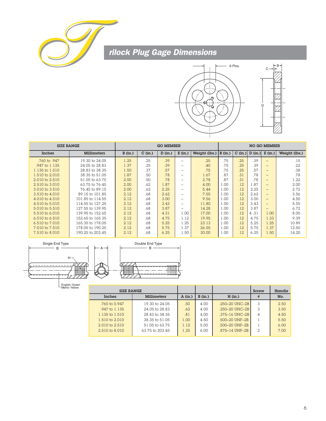

# **The Reader of the Team**<br> **The Reader of the Team**<br> **The Team**<br> **Team**<br> **Team**



| <b>SIZE RANGE</b>            |                  |           |           | <b>GO MEMBER</b> |                          | <b>NO GO MEMBER</b> |         |         |         |                          |               |
|------------------------------|------------------|-----------|-----------|------------------|--------------------------|---------------------|---------|---------|---------|--------------------------|---------------|
| Inches<br><b>Millimeters</b> |                  | $B$ (in.) | $C$ (in.) | D (in.)          | $E$ (in.)                | Weight (lbs.)       | B (in.) | C (in.) | D (in.) | E (in.)                  | Weight (lbs.) |
| .760 to .947                 | 19.30 to 24.05   | 1.25      | .25       | .39              | $\equiv$                 | .25                 | .75     | .25     | .39     | $\overline{\phantom{a}}$ | .15           |
| .947 to 1.135                | 24.05 to 28.83   | 1.37      | .25       | .39              | $\overline{\phantom{a}}$ | .40                 | .75     | .25     | .39     | $\qquad \qquad -$        | .22           |
| 1.135 to 1.510               | 28.83 to 38.35   | 1.50      | .37       | .57              | $\overline{\phantom{a}}$ | .75                 | .75     | .25     | .57     | $\qquad \qquad -$        | .38           |
| 1.510 to 2.010               | 38.35 to 51.05   | 1.87      | .50       | .78              | $\sim$                   | 1.67                | .87     | .31     | .78     | $\qquad \qquad -$        | .78           |
| $2.010 \text{ to } 2.510$    | 51.05 to 63.75   | 2.00      | .50       | .78              | $\equiv$                 | 2.78                | .87     | .31     | .78     | $\qquad \qquad -$        | 1.22          |
| 2.510 to 3.010               | 63.75 to 76.45   | 2.00      | .62       | 1.87             | $\sim$                   | 4.00                | 00.1    | .12     | 1.87    | $\qquad \qquad -$        | 2.00          |
| 3.010 to 3.510               | 76.45 to 89.15   | 2.00      | .62       | 2.25             | $\equiv$                 | 5.44                | L.OO    | .12     | 2.25    | $-$                      | 2.72          |
| $3.510 \text{ to } 4.010$    | 89.15 to 101.85  | 2.12      | .68       | 2.62             | $\sim$                   | 7.55                | 1.00    | .12     | 2.62    | $\qquad \qquad -$        | 3.56          |
| 4.010 to 4.510               | 101.85 to 114.55 | 2.12      | .68       | 3.00             | $\equiv$                 | 9.56                | 1.00    | .12     | 3.00    | $-$                      | 4.50          |
| 4.510 to 5.010               | 114.55 to 127.25 | 2.12      | .68       | 3.43             | $\sim$                   | 11.80               | 1.00    | .12     | 3.43    | $-$                      | 5.55          |
| 5.010 to 5.510               | 127.55 to 139.95 | 2.12      | .68       | 3.87             | -                        | 14.28               | 1.00    | .12     | 3.87    | $-$                      | 6.72          |
| $5.510 \text{ to } 6.010$    | 139.95 to 152.65 | 2.12      | .68       | 4.31             | 1.00                     | 17.00               | 1.00    | .12     | 4.31    | 1.00                     | 8.00          |
| $6.010$ to $6.510$           | 152.65 to 165.35 | 2.12      | .68       | 4.75             | 1.12                     | 19.95               | 1.00    | .12     | 4.75    | 1.33                     | 9.39          |
| 6.510 to 7.010               | 165.35 to 178.05 | 2.12      | .68       | 5.25             | 1.25                     | 23.13               | 1.00    | .12     | 5.25    | 1.25                     | 10.89         |
| 7.010 to 7.510               | 178.05 to 190.25 | 2.12      | .68       | 5.75             | 1.37                     | 26.55               | 1.00    | .12     | 5.75    | 1.37                     | 12.50         |
| 7.510 to 8.010               | 190.25 to 203.45 | 2.12      | .68       | 6.25             | 1.50                     | 30.00               | 1.00    | .12     | 6.25    | 1.50                     | 14.20         |



English–Green Metric–Yellow

| <b>SIZE RANGE</b>         |                    |        |        |                       | Screw          | Handle |
|---------------------------|--------------------|--------|--------|-----------------------|----------------|--------|
| Inches                    | <b>Millimeters</b> | A(in.) | B(in.) | H (in.)               | #              | No.    |
| $.760 \text{ to } 0.947$  | 19.30 to 24.05     | .50    | 4.00   | $.250 - 20$ UNC $-2B$ | 3              | 2.50   |
| $.947$ to 1.135           | 24.05 to 28.83     | .62.   | 4.00   | $.250 - 20$ UNC $-2B$ | 3              | 3.50   |
| 1.135 to 1.510            | 28.83 to 38.35     | .81    | 4.00   | $.375 - 16$ UNC $-2B$ | $\overline{4}$ | 4.50   |
| 1.510 to $2.010$          | 38.35 to 51.05     | 1.00   | 4.50   | .500-20 UNF-2B        |                | 5.50   |
| $2.010 \text{ to } 2.510$ | 51.05 to 63.75     | 1.12.  | 5.00   | .500-20 UNF-2B        |                | 6.00   |
| $2.510 \text{ to } 8.010$ | 63.75 to 203.45    | 1.25   | 6.00   | $.875 - 14$ UNF $-2B$ | 2              | 7.00   |
|                           |                    |        |        |                       |                |        |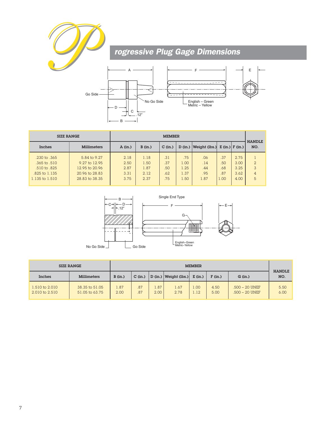



|                  | <b>SIZE RANGE</b><br><b>MEMBER</b> |        |        |           |         |                                                             |      |      |                      |  |
|------------------|------------------------------------|--------|--------|-----------|---------|-------------------------------------------------------------|------|------|----------------------|--|
| Inches           | <b>Millimeters</b>                 | A(in.) | B(in.) | $C$ (in.) | D (in.) | $ \text{Weight (lbs.)}  \mathbf{E (in.)}  \mathbf{F (in.)}$ |      |      | <b>HANDLE</b><br>NO. |  |
| .230 to .365     | 5.84 to 9.27                       | 2.18   | 1.18   | .31       | .75     | .06                                                         | .37  | 2.75 |                      |  |
| $.365$ to $.510$ | 9.27 to 12.95                      | 2.50   | 1.50   | .37       | 1.00    | .14                                                         | .50  | 3.00 | $\overline{2}$       |  |
| .510 to .825     | 12.95 to 20.96                     | 2.87   | 1.87   | .50       | 1.25    | .44                                                         | .68  | 3.25 | 3                    |  |
| .825 to 1.135    | 20.96 to 28.83                     | 3.31   | 2.12.  | .62       | 1.37    | .95                                                         | .87  | 3.62 | $\overline{4}$       |  |
| 1.135 to 1.510   | 28.83 to 38.35                     | 3.75   | 2.37   | .75       | 1.50    | 1.87                                                        | 1.00 | 4.00 | 5                    |  |



|                                  | <b>SIZE RANGE</b>                |              | <b>MEMBER</b>                                                           |              |                      |               |              |                                    |              |  |  |
|----------------------------------|----------------------------------|--------------|-------------------------------------------------------------------------|--------------|----------------------|---------------|--------------|------------------------------------|--------------|--|--|
| Inches                           | <b>Millimeters</b>               | B(in.)       | Weight (lbs.)<br>$E$ (in.)<br>F (in.)<br>$C$ (in.)<br>D (in.)<br>G(in.) |              | <b>HANDLE</b><br>NO. |               |              |                                    |              |  |  |
| 1.510 to 2.010<br>2.010 to 2.510 | 38.35 to 51.05<br>51.05 to 63.75 | 1.87<br>2.00 | .87<br>.87                                                              | 1.87<br>2.00 | 1.67<br>2.78         | .00.1<br>1.12 | 4.50<br>5.00 | .500 - 20 UNEF<br>$.500 - 20$ UNEF | 5.50<br>6.00 |  |  |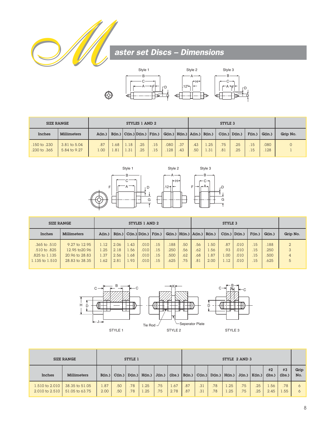



|                              | <b>SIZE RANGE</b>            | STYLES 1 AND 2 |            |              |                                              |                                      |             | STYLE 3    |                          |              |            |            |            |              |          |
|------------------------------|------------------------------|----------------|------------|--------------|----------------------------------------------|--------------------------------------|-------------|------------|--------------------------|--------------|------------|------------|------------|--------------|----------|
| <b>Inches</b>                | <b>Millimeters</b>           | A(in.)         |            |              | $B(in.) \mid C(in.) \mid D(in.) \mid F(in.)$ |                                      |             |            | G(in.)   H(in.)   A(in.) | B(in.)       | C(in.)     | D(in.)     | F(in.)     | G(in.)       | Grip No. |
| .150 to .230<br>.230 to .365 | 3.81 to 5.04<br>5.84 to 9.27 | .87<br>00.1    | .68<br>.81 | 1.18<br>1.31 | .25<br>.25                                   | .15 <sup>7</sup><br>.15 <sup>7</sup> | 080.<br>128 | .37<br>.43 | .43<br>.50               | 1.25<br>1.31 | .75<br>.81 | .25<br>.25 | .15<br>.15 | .080<br>.128 |          |



| <b>SIZE RANGE</b>  | STYLES 1 AND 2     |        |        |      |                      |     |                                   |     |      |      |                   |      |       |        |                |
|--------------------|--------------------|--------|--------|------|----------------------|-----|-----------------------------------|-----|------|------|-------------------|------|-------|--------|----------------|
| Inches             | <b>Millimeters</b> | A(in.) | B(in.) |      | C(in.) D(in.) F(in.) |     | G(in.)   H(in.)   A(in.)   B(in.) |     |      |      | $C(in.)$ $D(in.)$ |      | F(in. | G(in.) | Grip No.       |
| $.365$ to $.510$   | 9.27 to 12.95      | 1.12   | 2.06   | 1.43 | .010                 | .15 | .188                              | .50 | .56  | 1.50 | .87               | .010 | .15   | .188   | 2              |
| .510 to .825       | 12.95 to 20.96     | 1.25   | 2.18   | 1.56 | .010                 | .15 | .250                              | .56 | .62. | 1.56 | .93 <sub>1</sub>  | .010 | .15   | .250   | 3              |
| .825 to 1.135      | 20.96 to 28.83     | 1.37   | 2.56   | 1.68 | .010                 | .15 | .500                              | .62 | .68  | 1.87 | l.OO l            | .010 | .15   | .500   | $\overline{4}$ |
| $1.135$ to $1.510$ | 28.83 to 38.35     | 1.62   | 2.81   | 1.93 | 010                  | .15 | 625                               | .75 | .81  | 2.00 | 1.12              | .010 | .15   | .625   | 5              |



|                                  | <b>SIZE RANGE</b>                | STYLE 2 AND 3<br><b>STYLE 1</b> |                         |            |                 |            |                |            |            |            |              |            |            |              |              |             |
|----------------------------------|----------------------------------|---------------------------------|-------------------------|------------|-----------------|------------|----------------|------------|------------|------------|--------------|------------|------------|--------------|--------------|-------------|
| <b>Inches</b>                    | <b>Millimeters</b>               | B(in.)                          | C(in.)                  |            | $D(in.)$ H(in.) | J(in.)     | (lbs.)  B(in.) |            | C(in.)     | D(in.)     | H(in.)       | J(in.)     | K(in.)     | #2<br>(lbs.) | #3<br>(lbs.) | Grip<br>No. |
| 1.510 to 2.010<br>2.010 to 2.510 | 38.35 to 51.05<br>51.05 to 63.75 | 1.87<br>2.00                    | .50 <sub>1</sub><br>.50 | .78<br>.78 | .25<br>.25      | .75<br>.75 | 1.67<br>2.78   | .87<br>.87 | .31<br>.31 | .78<br>.78 | 1.25<br>1.25 | .75<br>.75 | .25<br>.25 | 1.56<br>2.45 | .78<br>.55   | 6           |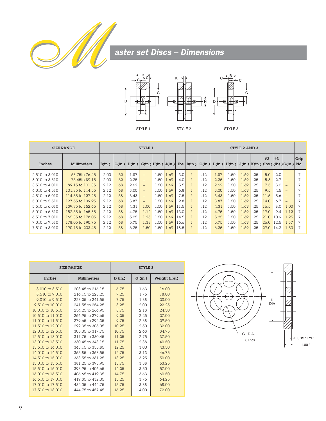



|                           | <b>SIZE RANGE</b>  |        |        |        | <b>STYLE 1</b>           |      |      |                  | STYLE 2 AND 3   |     |                   |        |      |     |      |      |                                                    |      |
|---------------------------|--------------------|--------|--------|--------|--------------------------|------|------|------------------|-----------------|-----|-------------------|--------|------|-----|------|------|----------------------------------------------------|------|
| Inches                    | <b>Millimeters</b> | B(in.) | C(in.) | D(in.) | G(in.) H(in.) J(in.)     |      |      |                  | $lbs.$ $B(in.)$ |     | $C(in.)$ $D(in.)$ | H(in.) |      |     | #2   | #3   | $J(in.)   K(in.)   (lbs.)   (lbs.)   G(in.)   No.$ | Grip |
| 2.510 to 3.010            | 63.75to 76.45      | 2.00   | .62    | 1.87   | $\overline{\phantom{0}}$ | 1.50 | .69  | 3.0              |                 | .12 | L.87              | 1.50   | 1.69 | 25  | 5.0  | 2.0  |                                                    |      |
| $3.010$ to $3.510$        | 76.45to 89.15      | 2.00   | .62    | 2.25   | $\overline{\phantom{0}}$ | 1.50 | .69  | 4.0 <sub>l</sub> |                 | .12 | 2.25              | 1.50   | 1.69 | 25  | 5.8  | 2.7  | $\qquad \qquad$                                    |      |
| $3.510 \text{ to } 4.010$ | 89.15 to 101.85    | 2.12   | .68    | 2.62   | $\overline{\phantom{0}}$ | 1.50 | .69  | 5.5              |                 | .12 | 2.62              | 1.50   | 1.69 | 25  | 7.5  | 3.6  | $\qquad \qquad$                                    |      |
| 4.010 to 4.510            | 101.85 to 114.55   | 2.12   | .68    | 3.00   | $\overline{\phantom{0}}$ | 1.50 | 1.69 | 6.8              |                 | .12 | 3.00              | 1.50   | 1.69 | 25  | 9.5  | 4.5  | $\overline{\phantom{0}}$                           |      |
| 4.510 to 5.010            | 114.55 to 127.25   | 2.12   | .68    | 3.43   | $\overline{\phantom{0}}$ | 1.50 | 1.69 | 7.5              |                 | .12 | 3.43              | 1.50   | 1.69 | .25 | 11.5 | 5.6  |                                                    |      |
| 5.010 to 5.510            | 127.55 to 139.95   | 2.12   | .68    | 3.87   | $-$                      | 1.50 | 1.69 | 9.8              |                 | .12 | 3.87              | 1.50   | 1.69 | .25 | 14.0 | 6.7  | $\overline{\phantom{0}}$                           |      |
| $5.510 \text{ to } 6.010$ | 139.95 to 152.65   | 2.12   | .68    | 4.31   | 1.00                     | 1.50 | .69  | 11.5             |                 | .12 | 4.31              | 1.50   | 1.69 | 25  | 16.5 | 8.0  | 1.00                                               |      |
| $6.010$ to $6.510$        | 152.65 to 165.35   | 2.12   | .68    | 4.75   | 1.12                     | 1.50 | 1.69 | 13.0             |                 | .12 | 4.75              | 1.50   | 1.69 | 25  | 19.0 | 9.4  | 1.12                                               |      |
| $6.510 \text{ to } 7.010$ | 165.35 to 178.05   | 2.12   | .68    | 5.25   | 1.25                     | 1.50 | .69  | 14.5             |                 | .12 | 5.25              | 1.50   | 1.69 | 25  | 21.0 | 10.9 | .25                                                |      |
| 7.010 to 7.510            | 178.05 to 190.75   | 2.12   | .68    | 5.75   | 1.38                     | 1.50 | .69  | 16.6             |                 | .12 | 5.75              | 1.50   | 1.69 | .25 | 26.0 | 12.5 | 1.37                                               |      |
| 7.510 to 8.010            | 190.75 to 203.45   | 2.12   | .68    | 6.25   | 1.50                     | 1.50 | 1.69 | 18.5             |                 | .12 | 6.25              | 1.50   | 1.69 | 25  | 29.0 | 14.2 | 1.50                                               |      |

|                    | <b>SIZE RANGE</b>  | <b>STYLE 3</b> |      |               |  |  |  |  |
|--------------------|--------------------|----------------|------|---------------|--|--|--|--|
| <b>Inches</b>      | <b>Millimeters</b> |                |      | Weight (lbs.) |  |  |  |  |
| 8.010 to 8.510     | 203.45 to 216.15   | 6.75           | 1.63 | 16.00         |  |  |  |  |
| 8.510 to 9.010     | 216.15 to 228.25   | 7.25           | 1.75 | 18.00         |  |  |  |  |
| $9.010$ to $9.510$ | 228.25 to 241.55   | 7.75           | 1.88 | 20.00         |  |  |  |  |
| 9.510 to 10.010    | 241.55 to 254.25   | 8.25           | 2.00 | 22.25         |  |  |  |  |
| 10.010 to 10.510   | 254.25 to 266.95   | 8.75           | 2.13 | 24.50         |  |  |  |  |
| 10.510 to 11.010   | 266.95 to 279.65   | 9.25           | 2.25 | 27.00         |  |  |  |  |
| 11.010 to 11.510   | 279.65 to 292.35   | 9.75           | 2.38 | 29.50         |  |  |  |  |
| 11.510 to 12.010   | 292.35 to 305.05   | 10.25          | 2.50 | 32.00         |  |  |  |  |
| 12,010 to 12,510   | 305.05 to 317.75   | 10.75          | 2.63 | 34.75         |  |  |  |  |
| 12.510 to 13.010   | 317.75 to 330.45   | 11.25          | 2.75 | 37.50         |  |  |  |  |
| 13.010 to 13.510   | 330.45 to 343.15   | 11.75          | 2.88 | 40.50         |  |  |  |  |
| 13.510 to 14.010   | 343.15 to 355.85   | 12.25          | 3.00 | 43.50         |  |  |  |  |
| 14,010 to 14,510   | 355.85 to 368.55   | 12.75          | 3.13 | 46.75         |  |  |  |  |
| 14.510 to 15.010   | 368.55 to 381.25   | 13.25          | 3.25 | 50.00         |  |  |  |  |
| 15,010 to 15,510   | 381.25 to 393.95   | 13.75          | 3.38 | 53.25         |  |  |  |  |
| 15.510 to 16.010   | 393.95 to 406.65   | 14.25          | 3.50 | 57.00         |  |  |  |  |
| 16,010 to 16,510   | 406.65 to 419.35   | 14.75          | 3.63 | 60.50         |  |  |  |  |
| 16.510 to 17.010   | 419.35 to 432.05   | 15.25          | 3.75 | 64.25         |  |  |  |  |
| 17.010 to 17.510   | 432.05 to 444.75   | 15.75          | 3.88 | 68.00         |  |  |  |  |
| 17.510 to 18.010   | 444.75 to 457.45   | 16.25          | 4.00 | 72.00         |  |  |  |  |

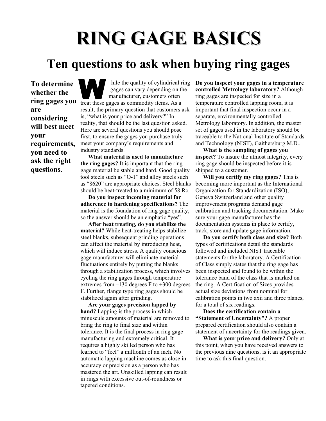# **RING GAGE BASICS**

## **Ten questions to ask when buying ring gages**

**To determine whether the are considering will best meet your requirements, you need to ask the right questions.** 

**ring gages you**  treat these gages as commodity items. As a hile the quality of cylindrical ring gages can vary depending on the manufacturer, customers often result, the primary question that customers ask is, "what is your price and delivery?" In reality, that should be the last question asked. Here are several questions you should pose first, to ensure the gages you purchase truly meet your company's requirements and industry standards.

> **What material is used to manufacture the ring gages?** It is important that the ring gage material be stable and hard. Good quality tool steels such as "O-1" and alloy steels such as "8620" are appropriate choices. Steel blanks should be heat-treated to a minimum of 58 Rc.

**Do you inspect incoming material for adherence to hardening specifications?** The material is the foundation of ring gage quality, so the answer should be an emphatic "yes".

**After heat treating, do you stabilize the material?** While heat-treating helps stabilize steel blanks, subsequent grinding operations can affect the material by introducing heat, which will induce stress. A quality conscious gage manufacturer will eliminate material fluctuations entirely by putting the blanks through a stabilization process, which involves cycling the ring gages through temperature extremes from  $-130$  degrees F to  $+300$  degrees F. Further, flange type ring gages should be stabilized again after grinding.

**Are your gages precision lapped by hand?** Lapping is the process in which minuscule amounts of material are removed to bring the ring to final size and within tolerance. It is the final process in ring gage manufacturing and extremely critical. It requires a highly skilled person who has learned to "feel" a millionth of an inch. No automatic lapping machine comes as close in accuracy or precision as a person who has mastered the art. Unskilled lapping can result in rings with excessive out-of-roundness or tapered conditions.

**Do you inspect your gages in a temperature controlled Metrology laboratory?** Although ring gages are inspected for size in a temperature controlled lapping room, it is important that final inspection occur in a separate, environmentally controlled Metrology laboratory. In addition, the master set of gages used in the laboratory should be traceable to the National Institute of Standards and Technology (NIST), Gaithersburg M.D..

**What is the sampling of gages you inspect?** To insure the utmost integrity, every ring gage should be inspected before it is shipped to a customer.

**Will you certify my ring gages?** This is becoming more important as the International Organization for Standardization (ISO), Geneva Switzerland and other quality improvement programs demand gage calibration and tracking documentation. Make sure your gage manufacturer has the documentation systems in place to certify, track, store and update gage information.

**Do you certify both class and size?** Both types of certifications detail the standards followed and included NIST traceable statements for the laboratory. A Certification of Class simply states that the ring gage has been inspected and found to be within the tolerance band of the class that is marked on the ring. A Certification of Sizes provides actual size deviations from nominal for calibration points in two axii and three planes, for a total of six readings.

**Does the certification contain a "Statement of Uncertainty"?** A proper prepared certification should also contain a statement of uncertainty for the readings given.

**What is your price and delivery?** Only at this point, when you have received answers to the previous nine questions, is it an appropriate time to ask this final question.